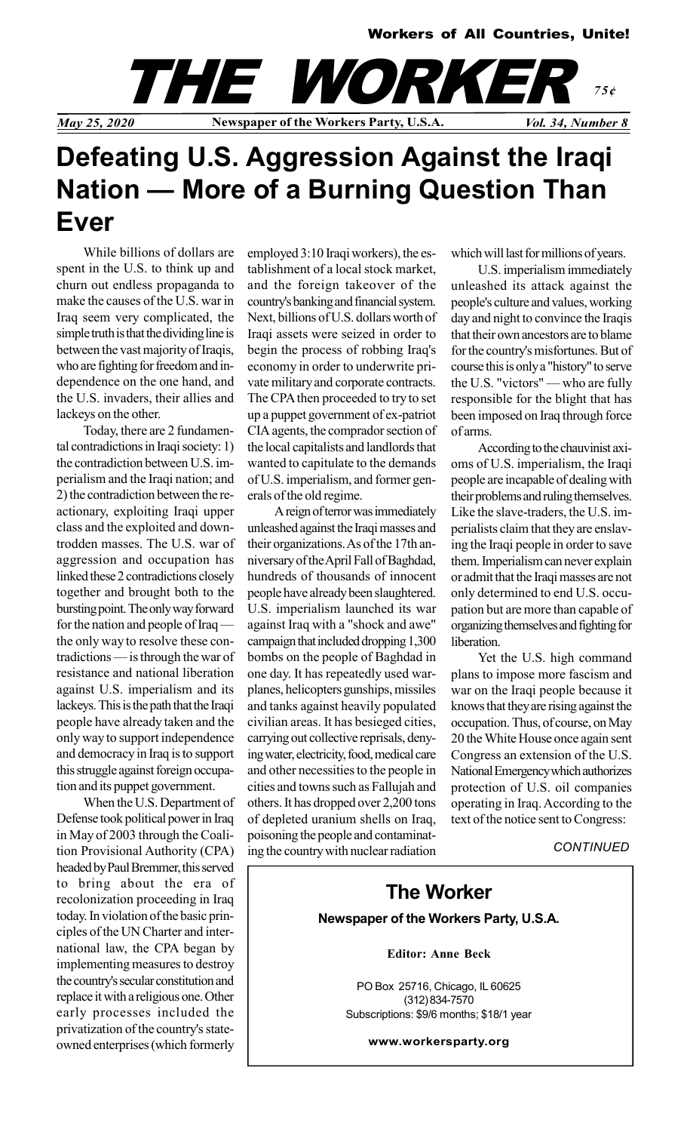

## Defeating U.S. Aggression Against the Iraqi Nation — More of a Burning Question Than Ever

While billions of dollars are spent in the U.S. to think up and churn out endless propaganda to make the causes of the U.S. war in Iraq seem very complicated, the simple truth is that the dividing line is between the vast majority of Iraqis, who are fighting for freedom and independence on the one hand, and the U.S. invaders, their allies and lackeys on the other.

Today, there are 2 fundamental contradictions in Iraqi society: 1) the contradiction between U.S. imperialism and the Iraqi nation; and 2) the contradiction between the reactionary, exploiting Iraqi upper class and the exploited and downtrodden masses. The U.S. war of aggression and occupation has linked these 2 contradictions closely together and brought both to the bursting point. The only way forward for the nation and people of Iraq the only way to resolve these contradictions — is through the war of resistance and national liberation against U.S. imperialism and its lackeys. This is the path that the Iraqi people have already taken and the only way to support independence and democracy in Iraq is to support this struggle against foreign occupation and its puppet government.

When the U.S. Department of Defense took political power in Iraq in May of 2003 through the Coalition Provisional Authority (CPA) headed by Paul Bremmer, this served to bring about the era of recolonization proceeding in Iraq today. In violation of the basic principles of the UN Charter and international law, the CPA began by implementing measures to destroy the country's secular constitution and replace it with a religious one. Other early processes included the privatization of the country's stateowned enterprises (which formerly

employed 3:10 Iraqi workers), the establishment of a local stock market, and the foreign takeover of the country's banking and financial system. Next, billions of U.S. dollars worth of Iraqi assets were seized in order to begin the process of robbing Iraq's economy in order to underwrite private military and corporate contracts. The CPA then proceeded to try to set up a puppet government of ex-patriot CIA agents, the comprador section of the local capitalists and landlords that wanted to capitulate to the demands of U.S. imperialism, and former generals of the old regime.

A reign of terror was immediately unleashed against the Iraqi masses and their organizations. As of the 17th anniversary of the April Fall of Baghdad, hundreds of thousands of innocent people have already been slaughtered. U.S. imperialism launched its war against Iraq with a "shock and awe" campaign that included dropping 1,300 bombs on the people of Baghdad in one day. It has repeatedly used warplanes, helicopters gunships, missiles and tanks against heavily populated civilian areas. It has besieged cities, carrying out collective reprisals, denying water, electricity, food, medical care and other necessities to the people in cities and towns such as Fallujah and others. It has dropped over 2,200 tons of depleted uranium shells on Iraq, poisoning the people and contaminating the country with nuclear radiation which will last for millions of years.

U.S. imperialism immediately unleashed its attack against the people's culture and values, working day and night to convince the Iraqis that their own ancestors are to blame for the country's misfortunes. But of course this is only a "history" to serve the U.S. "victors" — who are fully responsible for the blight that has been imposed on Iraq through force of arms.

According to the chauvinist axioms of U.S. imperialism, the Iraqi people are incapable of dealing with their problems and ruling themselves. Like the slave-traders, the U.S. imperialists claim that they are enslaving the Iraqi people in order to save them. Imperialism can never explain or admit that the Iraqi masses are not only determined to end U.S. occupation but are more than capable of organizing themselves and fighting for liberation.

Yet the U.S. high command plans to impose more fascism and war on the Iraqi people because it knows that they are rising against the occupation. Thus, of course, on May 20 the White House once again sent Congress an extension of the U.S. National Emergency which authorizes protection of U.S. oil companies operating in Iraq. According to the text of the notice sent to Congress:

**CONTINUED** 

## The Worker Newspaper of the Workers Party, U.S.A.

Editor: Anne Beck

PO Box 25716, Chicago, IL 60625 (312) 834-7570 Subscriptions: \$9/6 months; \$18/1 year

www.workersparty.org